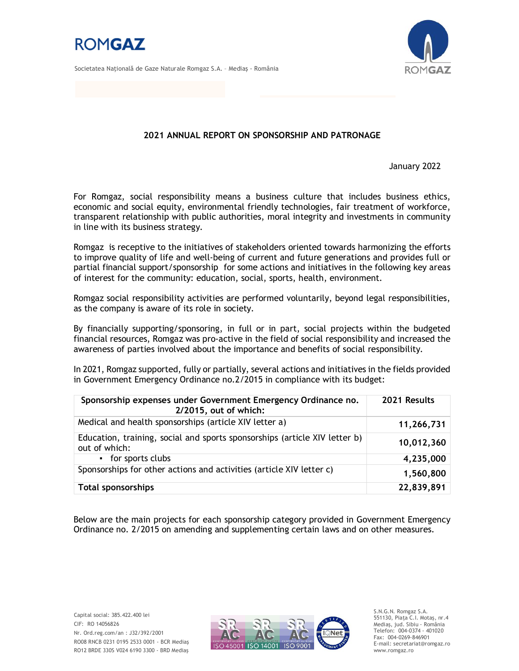

Societatea Naţională de Gaze Naturale Romgaz S.A. – Mediaş - România



### **2021 ANNUAL REPORT ON SPONSORSHIP AND PATRONAGE**

January 2022

For Romgaz, social responsibility means a business culture that includes business ethics, economic and social equity, environmental friendly technologies, fair treatment of workforce, transparent relationship with public authorities, moral integrity and investments in community in line with its business strategy.

Romgaz is receptive to the initiatives of stakeholders oriented towards harmonizing the efforts to improve quality of life and well-being of current and future generations and provides full or partial financial support/sponsorship for some actions and initiatives in the following key areas of interest for the community: education, social, sports, health, environment.

Romgaz social responsibility activities are performed voluntarily, beyond legal responsibilities, as the company is aware of its role in society.

By financially supporting/sponsoring, in full or in part, social projects within the budgeted financial resources, Romgaz was pro-active in the field of social responsibility and increased the awareness of parties involved about the importance and benefits of social responsibility.

In 2021, Romgaz supported, fully or partially, several actions and initiatives in the fields provided in Government Emergency Ordinance no.2/2015 in compliance with its budget:

| Sponsorship expenses under Government Emergency Ordinance no.<br>2/2015, out of which:      | 2021 Results |
|---------------------------------------------------------------------------------------------|--------------|
| Medical and health sponsorships (article XIV letter a)                                      | 11,266,731   |
| Education, training, social and sports sponsorships (article XIV letter b)<br>out of which: | 10,012,360   |
| • for sports clubs                                                                          | 4,235,000    |
| Sponsorships for other actions and activities (article XIV letter c)                        | 1,560,800    |
| <b>Total sponsorships</b>                                                                   | 22,839,891   |

Below are the main projects for each sponsorship category provided in Government Emergency Ordinance no. 2/2015 on amending and supplementing certain laws and on other measures.



S.N.G.N. Romgaz S.A. 551130, Piața C.I. Motaş, nr.4 Mediaş, jud. Sibiu - România Telefon: 004-0374 - 401020 Fax: 004-0269-846901 E-mail: secretariat@romgaz.ro www.romgaz.ro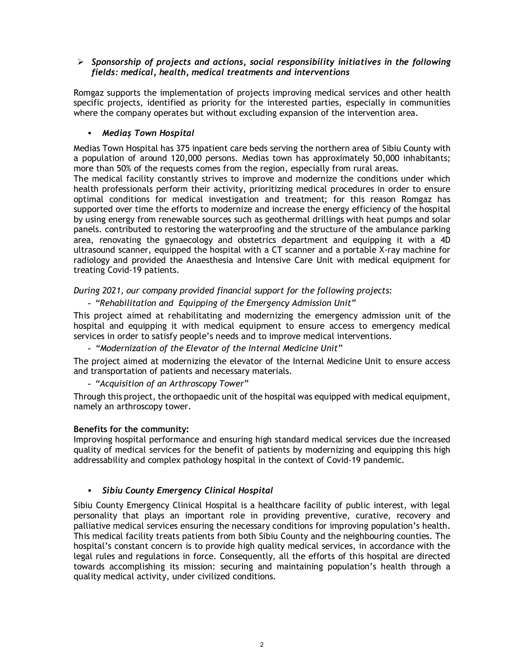## *Sponsorship of projects and actions, social responsibility initiatives in the following fields: medical, health, medical treatments and interventions*

Romgaz supports the implementation of projects improving medical services and other health specific projects, identified as priority for the interested parties, especially in communities where the company operates but without excluding expansion of the intervention area.

## *Mediaș Town Hospital*

Medias Town Hospital has 375 inpatient care beds serving the northern area of Sibiu County with a population of around 120,000 persons. Medias town has approximately 50,000 inhabitants; more than 50% of the requests comes from the region, especially from rural areas.

The medical facility constantly strives to improve and modernize the conditions under which health professionals perform their activity, prioritizing medical procedures in order to ensure optimal conditions for medical investigation and treatment; for this reason Romgaz has supported over time the efforts to modernize and increase the energy efficiency of the hospital by using energy from renewable sources such as geothermal drillings with heat pumps and solar panels. contributed to restoring the waterproofing and the structure of the ambulance parking area, renovating the gynaecology and obstetrics department and equipping it with a 4D ultrasound scanner, equipped the hospital with a CT scanner and a portable X-ray machine for radiology and provided the Anaesthesia and Intensive Care Unit with medical equipment for treating Covid-19 patients.

*During 2021, our company provided financial support for the following projects:*

### - *"Rehabilitation and Equipping of the Emergency Admission Unit"*

This project aimed at rehabilitating and modernizing the emergency admission unit of the hospital and equipping it with medical equipment to ensure access to emergency medical services in order to satisfy people's needs and to improve medical interventions.

- *"Modernization of the Elevator of the Internal Medicine Unit"*

The project aimed at modernizing the elevator of the Internal Medicine Unit to ensure access and transportation of patients and necessary materials.

- *"Acquisition of an Arthroscopy Tower"*

Through this project, the orthopaedic unit of the hospital was equipped with medical equipment, namely an arthroscopy tower.

### **Benefits for the community:**

Improving hospital performance and ensuring high standard medical services due the increased quality of medical services for the benefit of patients by modernizing and equipping this high addressability and complex pathology hospital in the context of Covid-19 pandemic.

### *Sibiu County Emergency Clinical Hospital*

Sibiu County Emergency Clinical Hospital is a healthcare facility of public interest, with legal personality that plays an important role in providing preventive, curative, recovery and palliative medical services ensuring the necessary conditions for improving population's health. This medical facility treats patients from both Sibiu County and the neighbouring counties. The hospital's constant concern is to provide high quality medical services, in accordance with the legal rules and regulations in force. Consequently, all the efforts of this hospital are directed towards accomplishing its mission: securing and maintaining population's health through a quality medical activity, under civilized conditions.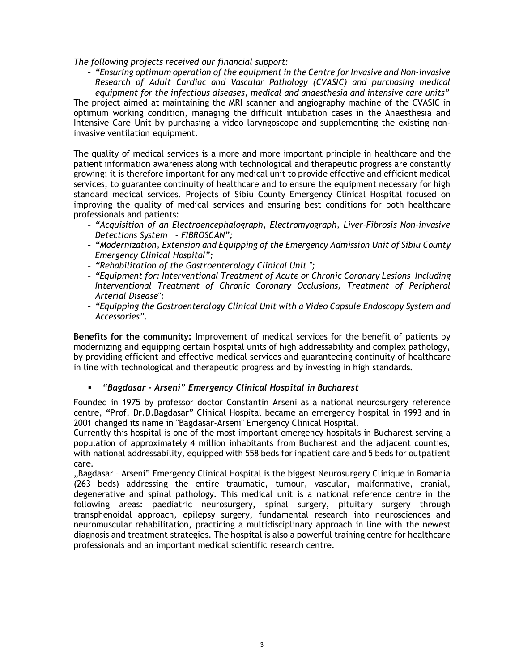#### *The following projects received our financial support:*

- *"Ensuring optimum operation of the equipment in the Centre for Invasive and Non-invasive Research of Adult Cardiac and Vascular Pathology (CVASIC) and purchasing medical equipment for the infectious diseases, medical and anaesthesia and intensive care units"* The project aimed at maintaining the MRI scanner and angiography machine of the CVASIC in optimum working condition, managing the difficult intubation cases in the Anaesthesia and Intensive Care Unit by purchasing a video laryngoscope and supplementing the existing noninvasive ventilation equipment.

The quality of medical services is a more and more important principle in healthcare and the patient information awareness along with technological and therapeutic progress are constantly growing; it is therefore important for any medical unit to provide effective and efficient medical services, to guarantee continuity of healthcare and to ensure the equipment necessary for high standard medical services. Projects of Sibiu County Emergency Clinical Hospital focused on improving the quality of medical services and ensuring best conditions for both healthcare professionals and patients:

- *"Acquisition of an Electroencephalograph, Electromyograph, Liver-Fibrosis Non-invasive Detections System – FIBROSCAN";*
- *"Modernization, Extension and Equipping of the Emergency Admission Unit of Sibiu County Emergency Clinical Hospital";*
- *"Rehabilitation of the Gastroenterology Clinical Unit ";*
- *"Equipment for: Interventional Treatment of Acute or Chronic Coronary Lesions Including Interventional Treatment of Chronic Coronary Occlusions, Treatment of Peripheral Arterial Disease";*
- *"Equipping the Gastroenterology Clinical Unit with a Video Capsule Endoscopy System and Accessories".*

**Benefits for the community:** Improvement of medical services for the benefit of patients by modernizing and equipping certain hospital units of high addressability and complex pathology, by providing efficient and effective medical services and guaranteeing continuity of healthcare in line with technological and therapeutic progress and by investing in high standards.

### *"Bagdasar - Arseni" Emergency Clinical Hospital in Bucharest*

Founded in 1975 by professor doctor Constantin Arseni as a national neurosurgery reference centre, "Prof. Dr.D.Bagdasar" Clinical Hospital became an emergency hospital in 1993 and in 2001 changed its name in "Bagdasar-Arseni" Emergency Clinical Hospital.

Currently this hospital is one of the most important emergency hospitals in Bucharest serving a population of approximately 4 million inhabitants from Bucharest and the adjacent counties, with national addressability, equipped with 558 beds for inpatient care and 5 beds for outpatient care.

"Bagdasar – Arseni" Emergency Clinical Hospital is the biggest Neurosurgery Clinique in Romania (263 beds) addressing the entire traumatic, tumour, vascular, malformative, cranial, degenerative and spinal pathology. This medical unit is a national reference centre in the following areas: paediatric neurosurgery, spinal surgery, pituitary surgery through transphenoidal approach, epilepsy surgery, fundamental research into neurosciences and neuromuscular rehabilitation, practicing a multidisciplinary approach in line with the newest diagnosis and treatment strategies. The hospital is also a powerful training centre for healthcare professionals and an important medical scientific research centre.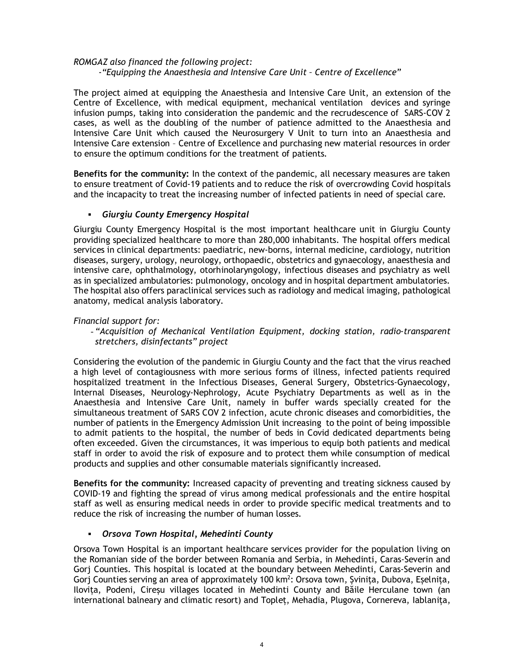## *ROMGAZ also financed the following project:*

*-"Equipping the Anaesthesia and Intensive Care Unit – Centre of Excellence"*

The project aimed at equipping the Anaesthesia and Intensive Care Unit, an extension of the Centre of Excellence, with medical equipment, mechanical ventilation devices and syringe infusion pumps, taking into consideration the pandemic and the recrudescence of SARS-COV 2 cases, as well as the doubling of the number of patience admitted to the Anaesthesia and Intensive Care Unit which caused the Neurosurgery V Unit to turn into an Anaesthesia and Intensive Care extension – Centre of Excellence and purchasing new material resources in order to ensure the optimum conditions for the treatment of patients.

**Benefits for the community:** In the context of the pandemic, all necessary measures are taken to ensure treatment of Covid-19 patients and to reduce the risk of overcrowding Covid hospitals and the incapacity to treat the increasing number of infected patients in need of special care.

## *Giurgiu County Emergency Hospital*

Giurgiu County Emergency Hospital is the most important healthcare unit in Giurgiu County providing specialized healthcare to more than 280,000 inhabitants. The hospital offers medical services in clinical departments: paediatric, new-borns, internal medicine, cardiology, nutrition diseases, surgery, urology, neurology, orthopaedic, obstetrics and gynaecology, anaesthesia and intensive care, ophthalmology, otorhinolaryngology, infectious diseases and psychiatry as well as in specialized ambulatories: pulmonology, oncology and in hospital department ambulatories. The hospital also offers paraclinical services such as radiology and medical imaging, pathological anatomy, medical analysis laboratory.

## *Financial support for:*

- *"Acquisition of Mechanical Ventilation Equipment, docking station, radio-transparent stretchers, disinfectants" project*

Considering the evolution of the pandemic in Giurgiu County and the fact that the virus reached a high level of contagiousness with more serious forms of illness, infected patients required hospitalized treatment in the Infectious Diseases, General Surgery, Obstetrics-Gynaecology, Internal Diseases, Neurology-Nephrology, Acute Psychiatry Departments as well as in the Anaesthesia and Intensive Care Unit, namely in buffer wards specially created for the simultaneous treatment of SARS COV 2 infection, acute chronic diseases and comorbidities, the number of patients in the Emergency Admission Unit increasing to the point of being impossible to admit patients to the hospital, the number of beds in Covid dedicated departments being often exceeded. Given the circumstances, it was imperious to equip both patients and medical staff in order to avoid the risk of exposure and to protect them while consumption of medical products and supplies and other consumable materials significantly increased.

**Benefits for the community:** Increased capacity of preventing and treating sickness caused by COVID-19 and fighting the spread of virus among medical professionals and the entire hospital staff as well as ensuring medical needs in order to provide specific medical treatments and to reduce the risk of increasing the number of human losses.

## *Orsova Town Hospital, Mehedinti County*

Orsova Town Hospital is an important healthcare services provider for the population living on the Romanian side of the border between Romania and Serbia, in Mehedinti, Caras-Severin and Gorj Counties. This hospital is located at the boundary between Mehedinti, Caras-Severin and Gorj Counties serving an area of approximately 100 km<sup>2</sup>: Orsova town, Șvinița, Dubova, Eșelnița, Ilovița, Podeni, Cireșu villages located in Mehedinti County and Băile Herculane town (an international balneary and climatic resort) and Topleț, Mehadia, Plugova, Cornereva, Iablanița,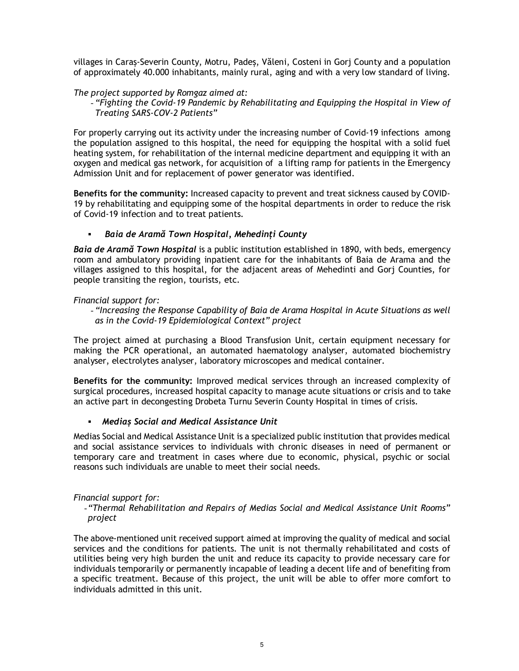villages in Caraș-Severin County, Motru, Padeș, Văleni, Costeni in Gorj County and a population of approximately 40.000 inhabitants, mainly rural, aging and with a very low standard of living.

#### *The project supported by Romgaz aimed at:*

- *"Fighting the Covid-19 Pandemic by Rehabilitating and Equipping the Hospital in View of Treating SARS-COV-2 Patients"*

For properly carrying out its activity under the increasing number of Covid-19 infections among the population assigned to this hospital, the need for equipping the hospital with a solid fuel heating system, for rehabilitation of the internal medicine department and equipping it with an oxygen and medical gas network, for acquisition of a lifting ramp for patients in the Emergency Admission Unit and for replacement of power generator was identified.

**Benefits for the community:** Increased capacity to prevent and treat sickness caused by COVID-19 by rehabilitating and equipping some of the hospital departments in order to reduce the risk of Covid-19 infection and to treat patients.

#### *Baia de Aramă Town Hospital, Mehedinți County*

*Baia de Aramă Town Hospital* is a public institution established in 1890, with beds, emergency room and ambulatory providing inpatient care for the inhabitants of Baia de Arama and the villages assigned to this hospital, for the adjacent areas of Mehedinti and Gorj Counties, for people transiting the region, tourists, etc.

#### *Financial support for:*

- *"Increasing the Response Capability of Baia de Arama Hospital in Acute Situations as well as in the Covid-19 Epidemiological Context" project*

The project aimed at purchasing a Blood Transfusion Unit, certain equipment necessary for making the PCR operational, an automated haematology analyser, automated biochemistry analyser, electrolytes analyser, laboratory microscopes and medical container.

**Benefits for the community:** Improved medical services through an increased complexity of surgical procedures, increased hospital capacity to manage acute situations or crisis and to take an active part in decongesting Drobeta Turnu Severin County Hospital in times of crisis.

### *Mediaș Social and Medical Assistance Unit*

Medias Social and Medical Assistance Unit is a specialized public institution that provides medical and social assistance services to individuals with chronic diseases in need of permanent or temporary care and treatment in cases where due to economic, physical, psychic or social reasons such individuals are unable to meet their social needs.

#### *Financial support for:*

-*"Thermal Rehabilitation and Repairs of Medias Social and Medical Assistance Unit Rooms" project*

The above-mentioned unit received support aimed at improving the quality of medical and social services and the conditions for patients. The unit is not thermally rehabilitated and costs of utilities being very high burden the unit and reduce its capacity to provide necessary care for individuals temporarily or permanently incapable of leading a decent life and of benefiting from a specific treatment. Because of this project, the unit will be able to offer more comfort to individuals admitted in this unit.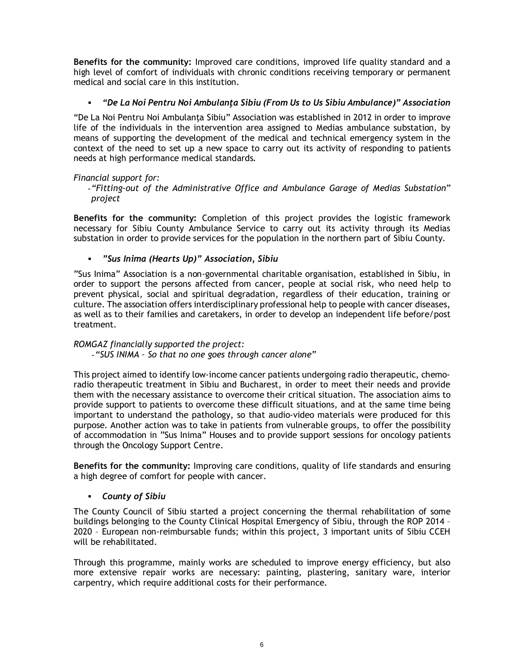**Benefits for the community:** Improved care conditions, improved life quality standard and a high level of comfort of individuals with chronic conditions receiving temporary or permanent medical and social care in this institution.

## *"De La Noi Pentru Noi Ambulanţa Sibiu (From Us to Us Sibiu Ambulance)" Association*

"De La Noi Pentru Noi Ambulanţa Sibiu" Association was established in 2012 in order to improve life of the individuals in the intervention area assigned to Medias ambulance substation, by means of supporting the development of the medical and technical emergency system in the context of the need to set up a new space to carry out its activity of responding to patients needs at high performance medical standards.

### *Financial support for:*

-*"Fitting-out of the Administrative Office and Ambulance Garage of Medias Substation" project*

**Benefits for the community:** Completion of this project provides the logistic framework necessary for Sibiu County Ambulance Service to carry out its activity through its Medias substation in order to provide services for the population in the northern part of Sibiu County.

*"Sus Inima (Hearts Up)" Association, Sibiu*

"Sus Inima" Association is a non-governmental charitable organisation, established in Sibiu, in order to support the persons affected from cancer, people at social risk, who need help to prevent physical, social and spiritual degradation, regardless of their education, training or culture. The association offers interdisciplinary professional help to people with cancer diseases, as well as to their families and caretakers, in order to develop an independent life before/post treatment.

## *ROMGAZ financially supported the project:*

-*"SUS INIMA – So that no one goes through cancer alone"*

This project aimed to identify low-income cancer patients undergoing radio therapeutic, chemoradio therapeutic treatment in Sibiu and Bucharest, in order to meet their needs and provide them with the necessary assistance to overcome their critical situation. The association aims to provide support to patients to overcome these difficult situations, and at the same time being important to understand the pathology, so that audio-video materials were produced for this purpose. Another action was to take in patients from vulnerable groups, to offer the possibility of accommodation in "Sus Inima" Houses and to provide support sessions for oncology patients through the Oncology Support Centre.

**Benefits for the community:** Improving care conditions, quality of life standards and ensuring a high degree of comfort for people with cancer.

### *County of Sibiu*

The County Council of Sibiu started a project concerning the thermal rehabilitation of some buildings belonging to the County Clinical Hospital Emergency of Sibiu, through the ROP 2014 – 2020 – European non-reimbursable funds; within this project, 3 important units of Sibiu CCEH will be rehabilitated.

Through this programme, mainly works are scheduled to improve energy efficiency, but also more extensive repair works are necessary: painting, plastering, sanitary ware, interior carpentry, which require additional costs for their performance.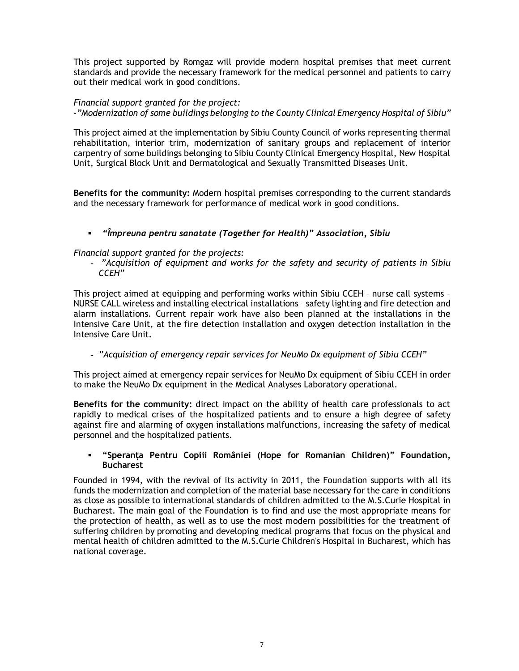This project supported by Romgaz will provide modern hospital premises that meet current standards and provide the necessary framework for the medical personnel and patients to carry out their medical work in good conditions.

## *Financial support granted for the project:*

*-"Modernization of some buildings belonging to the County Clinical Emergency Hospital of Sibiu"*

This project aimed at the implementation by Sibiu County Council of works representing thermal rehabilitation, interior trim, modernization of sanitary groups and replacement of interior carpentry of some buildings belonging to Sibiu County Clinical Emergency Hospital, New Hospital Unit, Surgical Block Unit and Dermatological and Sexually Transmitted Diseases Unit.

**Benefits for the community:** Modern hospital premises corresponding to the current standards and the necessary framework for performance of medical work in good conditions.

## *"Împreuna pentru sanatate (Together for Health)" Association, Sibiu*

*Financial support granted for the projects:* 

- *"Acquisition of equipment and works for the safety and security of patients in Sibiu CCEH"* 

This project aimed at equipping and performing works within Sibiu CCEH – nurse call systems – NURSE CALL wireless and installing electrical installations – safety lighting and fire detection and alarm installations. Current repair work have also been planned at the installations in the Intensive Care Unit, at the fire detection installation and oxygen detection installation in the Intensive Care Unit.

- *"Acquisition of emergency repair services for NeuMo Dx equipment of Sibiu CCEH"* 

This project aimed at emergency repair services for NeuMo Dx equipment of Sibiu CCEH in order to make the NeuMo Dx equipment in the Medical Analyses Laboratory operational.

**Benefits for the community:** direct impact on the ability of health care professionals to act rapidly to medical crises of the hospitalized patients and to ensure a high degree of safety against fire and alarming of oxygen installations malfunctions, increasing the safety of medical personnel and the hospitalized patients.

#### **"Speranța Pentru Copiii României (Hope for Romanian Children)" Foundation, Bucharest**

Founded in 1994, with the revival of its activity in 2011, the Foundation supports with all its funds the modernization and completion of the material base necessary for the care in conditions as close as possible to international standards of children admitted to the M.S.Curie Hospital in Bucharest. The main goal of the Foundation is to find and use the most appropriate means for the protection of health, as well as to use the most modern possibilities for the treatment of suffering children by promoting and developing medical programs that focus on the physical and mental health of children admitted to the M.S.Curie Children's Hospital in Bucharest, which has national coverage.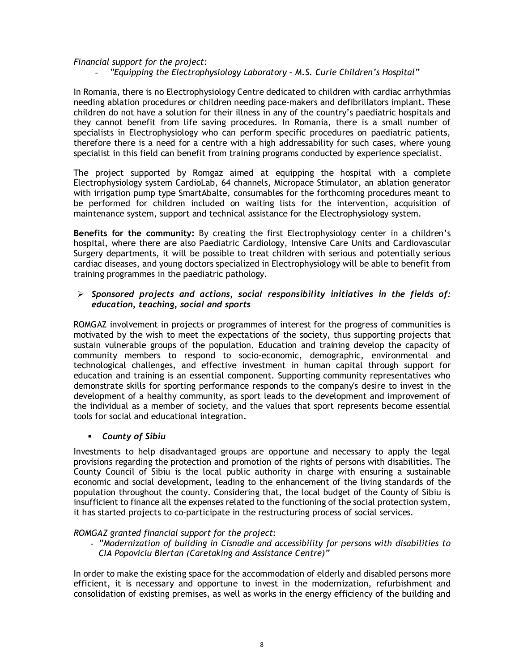### *Financial support for the project:*

- *"Equipping the Electrophysiology Laboratory – M.S. Curie Children's Hospital"*

In Romania, there is no Electrophysiology Centre dedicated to children with cardiac arrhythmias needing ablation procedures or children needing pace-makers and defibrillators implant. These children do not have a solution for their illness in any of the country's paediatric hospitals and they cannot benefit from life saving procedures. In Romania, there is a small number of specialists in Electrophysiology who can perform specific procedures on paediatric patients, therefore there is a need for a centre with a high addressability for such cases, where young specialist in this field can benefit from training programs conducted by experience specialist.

The project supported by Romgaz aimed at equipping the hospital with a complete Electrophysiology system CardioLab, 64 channels, Micropace Stimulator, an ablation generator with irrigation pump type SmartAbalte, consumables for the forthcoming procedures meant to be performed for children included on waiting lists for the intervention, acquisition of maintenance system, support and technical assistance for the Electrophysiology system.

**Benefits for the community:** By creating the first Electrophysiology center in a children's hospital, where there are also Paediatric Cardiology, Intensive Care Units and Cardiovascular Surgery departments, it will be possible to treat children with serious and potentially serious cardiac diseases, and young doctors specialized in Electrophysiology will be able to benefit from training programmes in the paediatric pathology.

### *Sponsored projects and actions, social responsibility initiatives in the fields of: education, teaching, social and sports*

ROMGAZ involvement in projects or programmes of interest for the progress of communities is motivated by the wish to meet the expectations of the society, thus supporting projects that sustain vulnerable groups of the population. Education and training develop the capacity of community members to respond to socio-economic, demographic, environmental and technological challenges, and effective investment in human capital through support for education and training is an essential component. Supporting community representatives who demonstrate skills for sporting performance responds to the company's desire to invest in the development of a healthy community, as sport leads to the development and improvement of the individual as a member of society, and the values that sport represents become essential tools for social and educational integration.

### *County of Sibiu*

Investments to help disadvantaged groups are opportune and necessary to apply the legal provisions regarding the protection and promotion of the rights of persons with disabilities. The County Council of Sibiu is the local public authority in charge with ensuring a sustainable economic and social development, leading to the enhancement of the living standards of the population throughout the county. Considering that, the local budget of the County of Sibiu is insufficient to finance all the expenses related to the functioning of the social protection system, it has started projects to co-participate in the restructuring process of social services.

#### *ROMGAZ granted financial support for the project:*

- *"Modernization of building in Cisnadie and accessibility for persons with disabilities to CIA Popoviciu Biertan (Caretaking and Assistance Centre)"*

In order to make the existing space for the accommodation of elderly and disabled persons more efficient, it is necessary and opportune to invest in the modernization, refurbishment and consolidation of existing premises, as well as works in the energy efficiency of the building and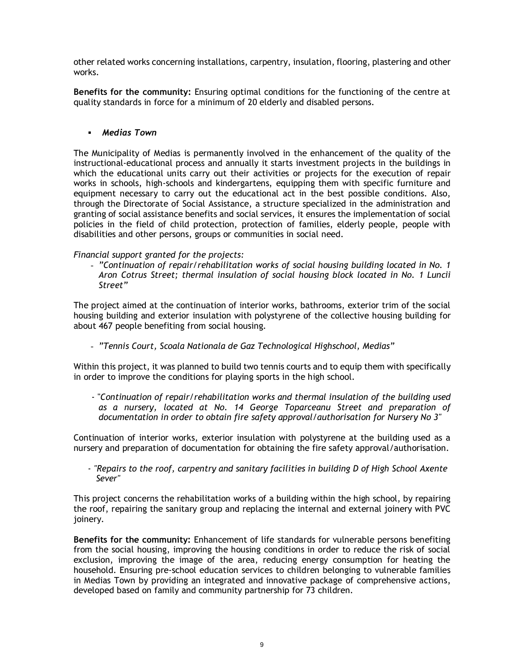other related works concerning installations, carpentry, insulation, flooring, plastering and other works.

**Benefits for the community:** Ensuring optimal conditions for the functioning of the centre at quality standards in force for a minimum of 20 elderly and disabled persons.

### *Medias Town*

The Municipality of Medias is permanently involved in the enhancement of the quality of the instructional-educational process and annually it starts investment projects in the buildings in which the educational units carry out their activities or projects for the execution of repair works in schools, high-schools and kindergartens, equipping them with specific furniture and equipment necessary to carry out the educational act in the best possible conditions. Also, through the Directorate of Social Assistance, a structure specialized in the administration and granting of social assistance benefits and social services, it ensures the implementation of social policies in the field of child protection, protection of families, elderly people, people with disabilities and other persons, groups or communities in social need.

#### *Financial support granted for the projects:*

- *"Continuation of repair/rehabilitation works of social housing building located in No. 1 Aron Cotrus Street; thermal insulation of social housing block located in No. 1 Luncii Street"*

The project aimed at the continuation of interior works, bathrooms, exterior trim of the social housing building and exterior insulation with polystyrene of the collective housing building for about 467 people benefiting from social housing.

- *"Tennis Court, Scoala Nationala de Gaz Technological Highschool, Medias"*

Within this project, it was planned to build two tennis courts and to equip them with specifically in order to improve the conditions for playing sports in the high school.

- "*Continuation of repair/rehabilitation works and thermal insulation of the building used as a nursery, located at No. 14 George Toparceanu Street and preparation of documentation in order to obtain fire safety approval/authorisation for Nursery No 3"*

Continuation of interior works, exterior insulation with polystyrene at the building used as a nursery and preparation of documentation for obtaining the fire safety approval/authorisation.

*- "Repairs to the roof, carpentry and sanitary facilities in building D of High School Axente Sever"*

This project concerns the rehabilitation works of a building within the high school, by repairing the roof, repairing the sanitary group and replacing the internal and external joinery with PVC joinery.

**Benefits for the community:** Enhancement of life standards for vulnerable persons benefiting from the social housing, improving the housing conditions in order to reduce the risk of social exclusion, improving the image of the area, reducing energy consumption for heating the household. Ensuring pre-school education services to children belonging to vulnerable families in Medias Town by providing an integrated and innovative package of comprehensive actions, developed based on family and community partnership for 73 children.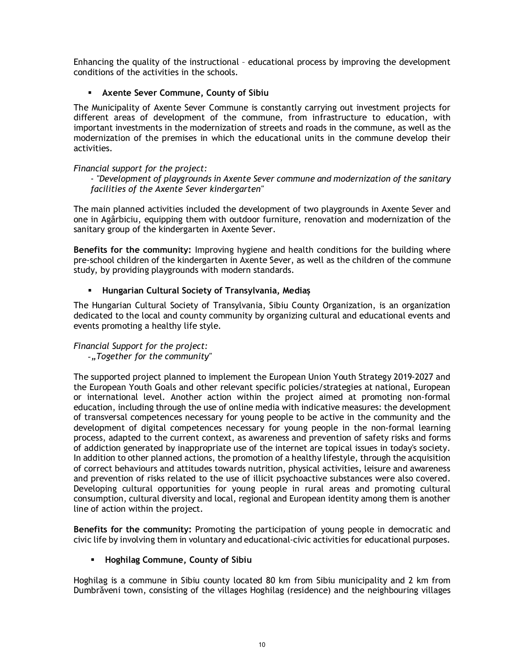Enhancing the quality of the instructional – educational process by improving the development conditions of the activities in the schools.

## **Axente Sever Commune, County of Sibiu**

The Municipality of Axente Sever Commune is constantly carrying out investment projects for different areas of development of the commune, from infrastructure to education, with important investments in the modernization of streets and roads in the commune, as well as the modernization of the premises in which the educational units in the commune develop their activities.

#### *Financial support for the project:*

- *"Development of playgrounds in Axente Sever commune and modernization of the sanitary facilities of the Axente Sever kindergarten"*

The main planned activities included the development of two playgrounds in Axente Sever and one in Agârbiciu, equipping them with outdoor furniture, renovation and modernization of the sanitary group of the kindergarten in Axente Sever.

**Benefits for the community:** Improving hygiene and health conditions for the building where pre-school children of the kindergarten in Axente Sever, as well as the children of the commune study, by providing playgrounds with modern standards.

### **Hungarian Cultural Society of Transylvania, Mediaș**

The Hungarian Cultural Society of Transylvania, Sibiu County Organization, is an organization dedicated to the local and county community by organizing cultural and educational events and events promoting a healthy life style.

# *Financial Support for the project:*

-*"Together for the community"*

The supported project planned to implement the European Union Youth Strategy 2019-2027 and the European Youth Goals and other relevant specific policies/strategies at national, European or international level. Another action within the project aimed at promoting non-formal education, including through the use of online media with indicative measures: the development of transversal competences necessary for young people to be active in the community and the development of digital competences necessary for young people in the non-formal learning process, adapted to the current context, as awareness and prevention of safety risks and forms of addiction generated by inappropriate use of the internet are topical issues in today's society. In addition to other planned actions, the promotion of a healthy lifestyle, through the acquisition of correct behaviours and attitudes towards nutrition, physical activities, leisure and awareness and prevention of risks related to the use of illicit psychoactive substances were also covered. Developing cultural opportunities for young people in rural areas and promoting cultural consumption, cultural diversity and local, regional and European identity among them is another line of action within the project.

**Benefits for the community:** Promoting the participation of young people in democratic and civic life by involving them in voluntary and educational-civic activities for educational purposes.

### **Hoghilag Commune, County of Sibiu**

Hoghilag is a commune in Sibiu county located 80 km from Sibiu municipality and 2 km from Dumbrăveni town, consisting of the villages Hoghilag (residence) and the neighbouring villages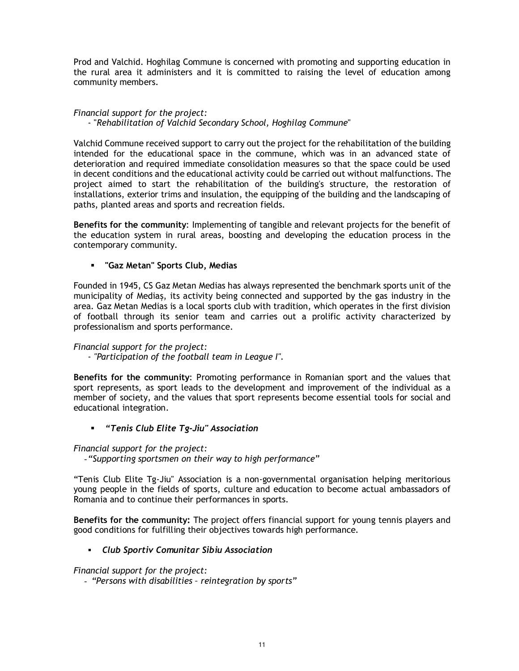Prod and Valchid. Hoghilag Commune is concerned with promoting and supporting education in the rural area it administers and it is committed to raising the level of education among community members.

#### *Financial support for the project:* - "*Rehabilitation of Valchid Secondary School, Hoghilag Commune*"

Valchid Commune received support to carry out the project for the rehabilitation of the building intended for the educational space in the commune, which was in an advanced state of deterioration and required immediate consolidation measures so that the space could be used in decent conditions and the educational activity could be carried out without malfunctions. The project aimed to start the rehabilitation of the building's structure, the restoration of installations, exterior trims and insulation, the equipping of the building and the landscaping of paths, planted areas and sports and recreation fields.

**Benefits for the community**: Implementing of tangible and relevant projects for the benefit of the education system in rural areas, boosting and developing the education process in the contemporary community.

**"Gaz Metan" Sports Club, Medias**

Founded in 1945, CS Gaz Metan Medias has always represented the benchmark sports unit of the municipality of Mediaș, its activity being connected and supported by the gas industry in the area. Gaz Metan Medias is a local sports club with tradition, which operates in the first division of football through its senior team and carries out a prolific activity characterized by professionalism and sports performance.

## *Financial support for the project:*

- *"Participation of the football team in League I".*

**Benefits for the community**: Promoting performance in Romanian sport and the values that sport represents, as sport leads to the development and improvement of the individual as a member of society, and the values that sport represents become essential tools for social and educational integration.

*"Tenis Club Elite Tg-Jiu" Association*

### *Financial support for the project:*

-*"Supporting sportsmen on their way to high performance"*

"Tenis Club Elite Tg-Jiu" Association is a non-governmental organisation helping meritorious young people in the fields of sports, culture and education to become actual ambassadors of Romania and to continue their performances in sports.

**Benefits for the community:** The project offers financial support for young tennis players and good conditions for fulfilling their objectives towards high performance.

### *Club Sportiv Comunitar Sibiu Association*

*Financial support for the project:*

- *"Persons with disabilities – reintegration by sports"*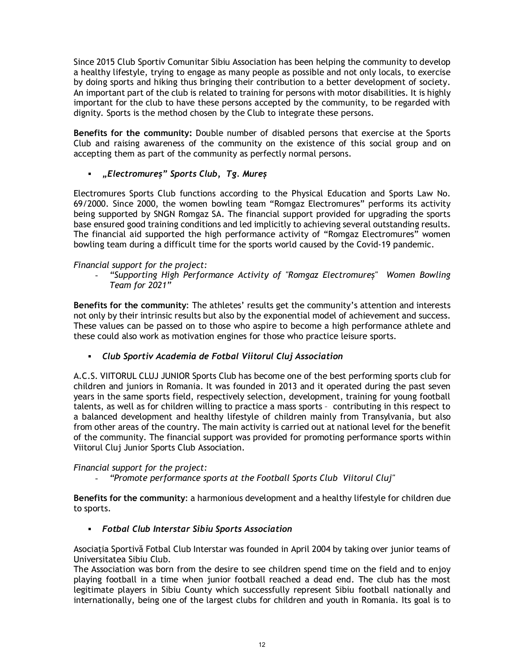Since 2015 Club Sportiv Comunitar Sibiu Association has been helping the community to develop a healthy lifestyle, trying to engage as many people as possible and not only locals, to exercise by doing sports and hiking thus bringing their contribution to a better development of society. An important part of the club is related to training for persons with motor disabilities. It is highly important for the club to have these persons accepted by the community, to be regarded with dignity. Sports is the method chosen by the Club to integrate these persons.

**Benefits for the community:** Double number of disabled persons that exercise at the Sports Club and raising awareness of the community on the existence of this social group and on accepting them as part of the community as perfectly normal persons.

## *"Electromureș" Sports Club, Tg. Mureș*

Electromures Sports Club functions according to the Physical Education and Sports Law No. 69/2000. Since 2000, the women bowling team "Romgaz Electromures" performs its activity being supported by SNGN Romgaz SA. The financial support provided for upgrading the sports base ensured good training conditions and led implicitly to achieving several outstanding results. The financial aid supported the high performance activity of "Romgaz Electromures" women bowling team during a difficult time for the sports world caused by the Covid-19 pandemic.

### *Financial support for the project:*

- *"Supporting High Performance Activity of "Romgaz Electromureș" Women Bowling Team for 2021"*

**Benefits for the community**: The athletes' results get the community's attention and interests not only by their intrinsic results but also by the exponential model of achievement and success. These values can be passed on to those who aspire to become a high performance athlete and these could also work as motivation engines for those who practice leisure sports.

*Club Sportiv Academia de Fotbal Viitorul Cluj Association*

A.C.S. VIITORUL CLUJ JUNIOR Sports Club has become one of the best performing sports club for children and juniors in Romania. It was founded in 2013 and it operated during the past seven years in the same sports field, respectively selection, development, training for young football talents, as well as for children willing to practice a mass sports – contributing in this respect to a balanced development and healthy lifestyle of children mainly from Transylvania, but also from other areas of the country. The main activity is carried out at national level for the benefit of the community. The financial support was provided for promoting performance sports within Viitorul Cluj Junior Sports Club Association.

#### *Financial support for the project:*

- *"Promote performance sports at the Football Sports Club Viitorul Cluj"*

**Benefits for the community**: a harmonious development and a healthy lifestyle for children due to sports.

### *Fotbal Club Interstar Sibiu Sports Association*

Asociația Sportivă Fotbal Club Interstar was founded in April 2004 by taking over junior teams of Universitatea Sibiu Club.

The Association was born from the desire to see children spend time on the field and to enjoy playing football in a time when junior football reached a dead end. The club has the most legitimate players in Sibiu County which successfully represent Sibiu football nationally and internationally, being one of the largest clubs for children and youth in Romania. Its goal is to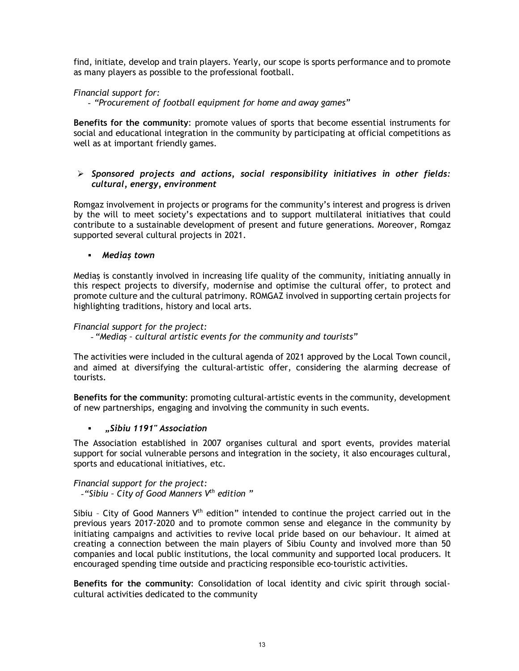find, initiate, develop and train players. Yearly, our scope is sports performance and to promote as many players as possible to the professional football.

## *Financial support for:*

- *"Procurement of football equipment for home and away games"*

**Benefits for the community**: promote values of sports that become essential instruments for social and educational integration in the community by participating at official competitions as well as at important friendly games.

## *Sponsored projects and actions, social responsibility initiatives in other fields: cultural, energy, environment*

Romgaz involvement in projects or programs for the community's interest and progress is driven by the will to meet society's expectations and to support multilateral initiatives that could contribute to a sustainable development of present and future generations. Moreover, Romgaz supported several cultural projects in 2021.

#### *Mediaș town*

Mediaș is constantly involved in increasing life quality of the community, initiating annually in this respect projects to diversify, modernise and optimise the cultural offer, to protect and promote culture and the cultural patrimony. ROMGAZ involved in supporting certain projects for highlighting traditions, history and local arts.

#### *Financial support for the project:*

- *"Mediaș – cultural artistic events for the community and tourists"*

The activities were included in the cultural agenda of 2021 approved by the Local Town council, and aimed at diversifying the cultural-artistic offer, considering the alarming decrease of tourists.

**Benefits for the community**: promoting cultural-artistic events in the community, development of new partnerships, engaging and involving the community in such events.

### *"Sibiu 1191" Association*

The Association established in 2007 organises cultural and sport events, provides material support for social vulnerable persons and integration in the society, it also encourages cultural, sports and educational initiatives, etc.

#### *Financial support for the project:* -*"Sibiu – City of Good Manners Vth edition "*

Sibiu - City of Good Manners V<sup>th</sup> edition" intended to continue the project carried out in the previous years 2017-2020 and to promote common sense and elegance in the community by initiating campaigns and activities to revive local pride based on our behaviour. It aimed at creating a connection between the main players of Sibiu County and involved more than 50 companies and local public institutions, the local community and supported local producers. It encouraged spending time outside and practicing responsible eco-touristic activities.

**Benefits for the community**: Consolidation of local identity and civic spirit through socialcultural activities dedicated to the community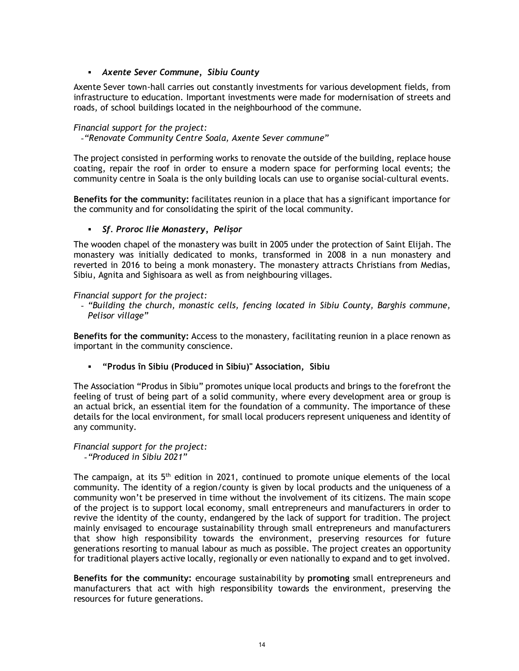## *Axente Sever Commune, Sibiu County*

Axente Sever town-hall carries out constantly investments for various development fields, from infrastructure to education. Important investments were made for modernisation of streets and roads, of school buildings located in the neighbourhood of the commune.

### *Financial support for the project:*

-*"Renovate Community Centre Soala, Axente Sever commune"*

The project consisted in performing works to renovate the outside of the building, replace house coating, repair the roof in order to ensure a modern space for performing local events; the community centre in Soala is the only building locals can use to organise social-cultural events.

**Benefits for the community:** facilitates reunion in a place that has a significant importance for the community and for consolidating the spirit of the local community.

#### *Sf. Proroc Ilie Monastery, Pelișor*

The wooden chapel of the monastery was built in 2005 under the protection of Saint Elijah. The monastery was initially dedicated to monks, transformed in 2008 in a nun monastery and reverted in 2016 to being a monk monastery. The monastery attracts Christians from Medias, Sibiu, Agnita and Sighisoara as well as from neighbouring villages.

#### *Financial support for the project:*

- *"Building the church, monastic cells, fencing located in Sibiu County, Barghis commune, Pelisor village"*

**Benefits for the community:** Access to the monastery, facilitating reunion in a place renown as important in the community conscience.

**"Produs în Sibiu (Produced in Sibiu)" Association, Sibiu**

The Association "Produs in Sibiu" promotes unique local products and brings to the forefront the feeling of trust of being part of a solid community, where every development area or group is an actual brick, an essential item for the foundation of a community. The importance of these details for the local environment, for small local producers represent uniqueness and identity of any community.

#### *Financial support for the project:* -*"Produced in Sibiu 2021"*

The campaign, at its  $5<sup>th</sup>$  edition in 2021, continued to promote unique elements of the local community. The identity of a region/county is given by local products and the uniqueness of a community won't be preserved in time without the involvement of its citizens. The main scope of the project is to support local economy, small entrepreneurs and manufacturers in order to revive the identity of the county, endangered by the lack of support for tradition. The project mainly envisaged to encourage sustainability through small entrepreneurs and manufacturers that show high responsibility towards the environment, preserving resources for future generations resorting to manual labour as much as possible. The project creates an opportunity for traditional players active locally, regionally or even nationally to expand and to get involved.

**Benefits for the community:** encourage sustainability by **promoting** small entrepreneurs and manufacturers that act with high responsibility towards the environment, preserving the resources for future generations.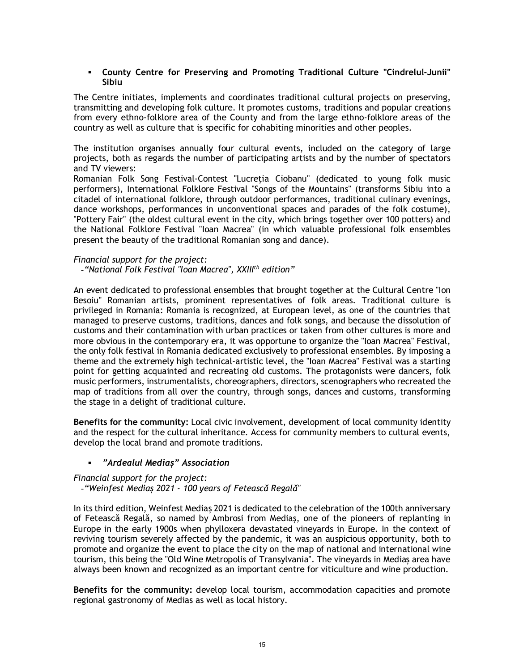#### **County Centre for Preserving and Promoting Traditional Culture "Cindrelul-Junii" Sibiu**

The Centre initiates, implements and coordinates traditional cultural projects on preserving, transmitting and developing folk culture. It promotes customs, traditions and popular creations from every ethno-folklore area of the County and from the large ethno-folklore areas of the country as well as culture that is specific for cohabiting minorities and other peoples.

The institution organises annually four cultural events, included on the category of large projects, both as regards the number of participating artists and by the number of spectators and TV viewers:

Romanian Folk Song Festival-Contest "Lucretia Ciobanu" (dedicated to young folk music performers), International Folklore Festival "Songs of the Mountains" (transforms Sibiu into a citadel of international folklore, through outdoor performances, traditional culinary evenings, dance workshops, performances in unconventional spaces and parades of the folk costume), "Pottery Fair" (the oldest cultural event in the city, which brings together over 100 potters) and the National Folklore Festival "Ioan Macrea" (in which valuable professional folk ensembles present the beauty of the traditional Romanian song and dance).

#### *Financial support for the project:*

-*"National Folk Festival "Ioan Macrea", XXIIIth edition"*

An event dedicated to professional ensembles that brought together at the Cultural Centre "Ion Besoiu" Romanian artists, prominent representatives of folk areas. Traditional culture is privileged in Romania: Romania is recognized, at European level, as one of the countries that managed to preserve customs, traditions, dances and folk songs, and because the dissolution of customs and their contamination with urban practices or taken from other cultures is more and more obvious in the contemporary era, it was opportune to organize the "Ioan Macrea" Festival, the only folk festival in Romania dedicated exclusively to professional ensembles. By imposing a theme and the extremely high technical-artistic level, the "Ioan Macrea" Festival was a starting point for getting acquainted and recreating old customs. The protagonists were dancers, folk music performers, instrumentalists, choreographers, directors, scenographers who recreated the map of traditions from all over the country, through songs, dances and customs, transforming the stage in a delight of traditional culture.

**Benefits for the community:** Local civic involvement, development of local community identity and the respect for the cultural inheritance. Access for community members to cultural events, develop the local brand and promote traditions.

### *"Ardealul Mediaș" Association*

*Financial support for the project:* -*"Weinfest Mediaș 2021 - 100 years of Fetească Regală"*

In its third edition, Weinfest Mediaş 2021 is dedicated to the celebration of the 100th anniversary of Fetească Regală, so named by Ambrosi from Mediaş, one of the pioneers of replanting in Europe in the early 1900s when phylloxera devastated vineyards in Europe. In the context of reviving tourism severely affected by the pandemic, it was an auspicious opportunity, both to promote and organize the event to place the city on the map of national and international wine tourism, this being the "Old Wine Metropolis of Transylvania". The vineyards in Mediaș area have always been known and recognized as an important centre for viticulture and wine production.

**Benefits for the community:** develop local tourism, accommodation capacities and promote regional gastronomy of Medias as well as local history.